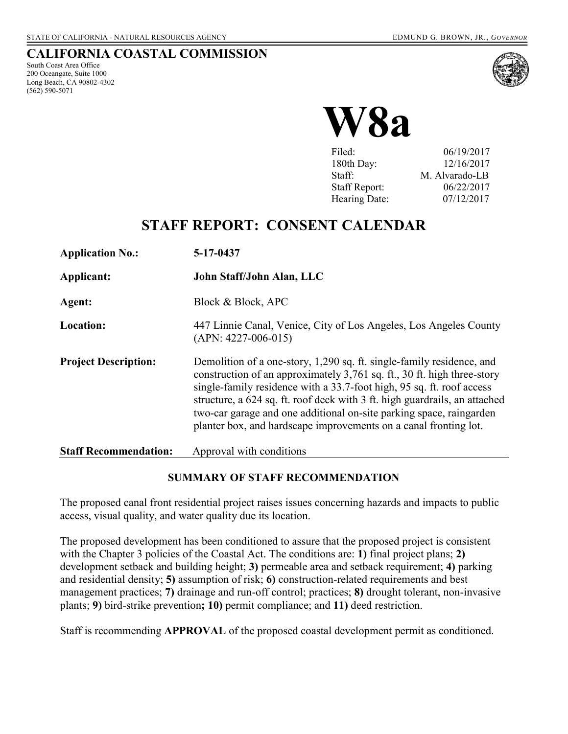#### **CALIFORNIA COASTAL COMMISSION**

South Coast Area Office 200 Oceangate, Suite 1000 Long Beach, CA 90802-4302 (562) 590-5071





| Filed:               | 06/19/2017     |
|----------------------|----------------|
| 180th Day:           | 12/16/2017     |
| Staff:               | M. Alvarado-LB |
| <b>Staff Report:</b> | 06/22/2017     |
| Hearing Date:        | 07/12/2017     |

## **STAFF REPORT: CONSENT CALENDAR**

| <b>Application No.:</b>      | 5-17-0437                                                                                                                                                                                                                                                                                                                                                                                                                                          |
|------------------------------|----------------------------------------------------------------------------------------------------------------------------------------------------------------------------------------------------------------------------------------------------------------------------------------------------------------------------------------------------------------------------------------------------------------------------------------------------|
| Applicant:                   | John Staff/John Alan, LLC                                                                                                                                                                                                                                                                                                                                                                                                                          |
| Agent:                       | Block & Block, APC                                                                                                                                                                                                                                                                                                                                                                                                                                 |
| Location:                    | 447 Linnie Canal, Venice, City of Los Angeles, Los Angeles County<br>$(APN: 4227-006-015)$                                                                                                                                                                                                                                                                                                                                                         |
| <b>Project Description:</b>  | Demolition of a one-story, 1,290 sq. ft. single-family residence, and<br>construction of an approximately 3,761 sq. ft., 30 ft. high three-story<br>single-family residence with a 33.7-foot high, 95 sq. ft. roof access<br>structure, a 624 sq. ft. roof deck with 3 ft. high guardrails, an attached<br>two-car garage and one additional on-site parking space, raingarden<br>planter box, and hardscape improvements on a canal fronting lot. |
| <b>Staff Recommendation:</b> | Approval with conditions                                                                                                                                                                                                                                                                                                                                                                                                                           |

#### **SUMMARY OF STAFF RECOMMENDATION**

The proposed canal front residential project raises issues concerning hazards and impacts to public access, visual quality, and water quality due its location.

The proposed development has been conditioned to assure that the proposed project is consistent with the Chapter 3 policies of the Coastal Act. The conditions are: **1)** final project plans; **2)**  development setback and building height; **3)** permeable area and setback requirement; **4)** parking and residential density; **5)** assumption of risk; **6)** construction-related requirements and best management practices; **7)** drainage and run-off control; practices; **8)** drought tolerant, non-invasive plants; **9)** bird-strike prevention**; 10)** permit compliance; and **11)** deed restriction.

Staff is recommending **APPROVAL** of the proposed coastal development permit as conditioned.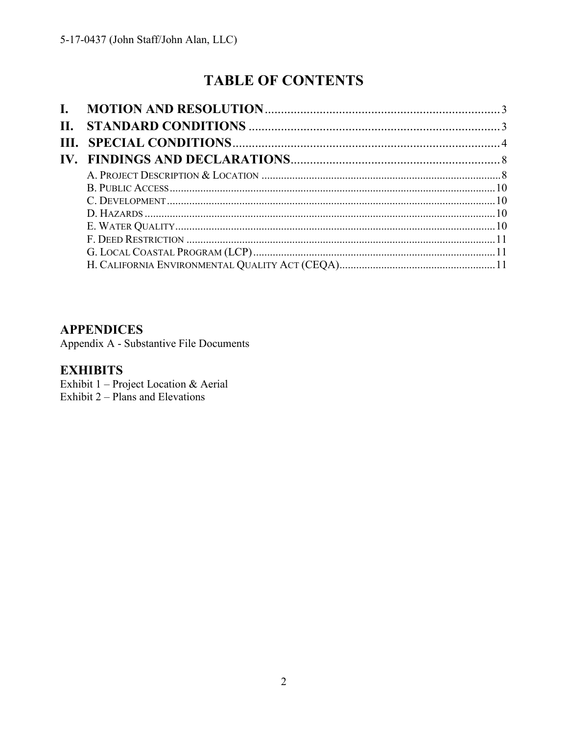# **TABLE OF CONTENTS**

| L.  |  |
|-----|--|
| II. |  |
|     |  |
|     |  |
|     |  |
|     |  |
|     |  |
|     |  |
|     |  |
|     |  |
|     |  |
|     |  |

## **APPENDICES**

Appendix A - Substantive File Documents

## **EXHIBITS**

Exhibit 1 - Project Location & Aerial Exhibit  $2$  – Plans and Elevations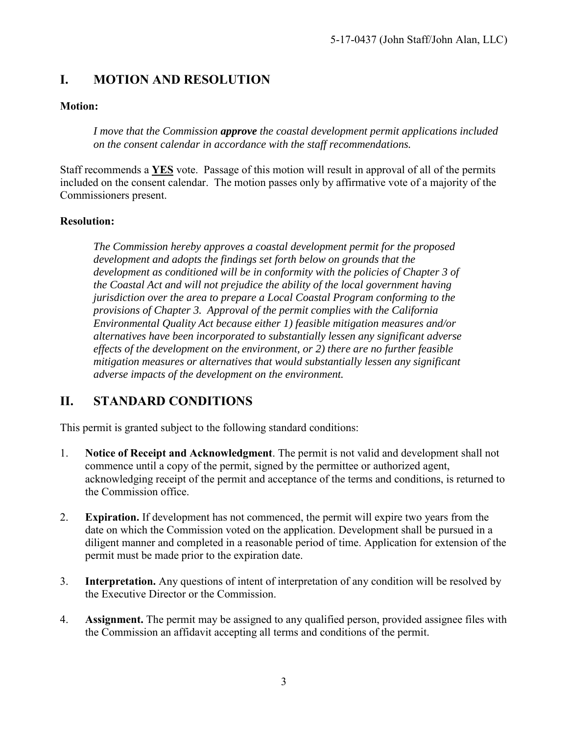## <span id="page-2-0"></span>**I. MOTION AND RESOLUTION**

#### **Motion:**

*I move that the Commission approve the coastal development permit applications included on the consent calendar in accordance with the staff recommendations.*

Staff recommends a **YES** vote. Passage of this motion will result in approval of all of the permits included on the consent calendar. The motion passes only by affirmative vote of a majority of the Commissioners present.

#### **Resolution:**

*The Commission hereby approves a coastal development permit for the proposed development and adopts the findings set forth below on grounds that the development as conditioned will be in conformity with the policies of Chapter 3 of the Coastal Act and will not prejudice the ability of the local government having jurisdiction over the area to prepare a Local Coastal Program conforming to the provisions of Chapter 3. Approval of the permit complies with the California Environmental Quality Act because either 1) feasible mitigation measures and/or alternatives have been incorporated to substantially lessen any significant adverse effects of the development on the environment, or 2) there are no further feasible mitigation measures or alternatives that would substantially lessen any significant adverse impacts of the development on the environment.* 

## <span id="page-2-1"></span>**II. STANDARD CONDITIONS**

This permit is granted subject to the following standard conditions:

- 1. **Notice of Receipt and Acknowledgment**. The permit is not valid and development shall not commence until a copy of the permit, signed by the permittee or authorized agent, acknowledging receipt of the permit and acceptance of the terms and conditions, is returned to the Commission office.
- 2. **Expiration.** If development has not commenced, the permit will expire two years from the date on which the Commission voted on the application. Development shall be pursued in a diligent manner and completed in a reasonable period of time. Application for extension of the permit must be made prior to the expiration date.
- 3. **Interpretation.** Any questions of intent of interpretation of any condition will be resolved by the Executive Director or the Commission.
- 4. **Assignment.** The permit may be assigned to any qualified person, provided assignee files with the Commission an affidavit accepting all terms and conditions of the permit.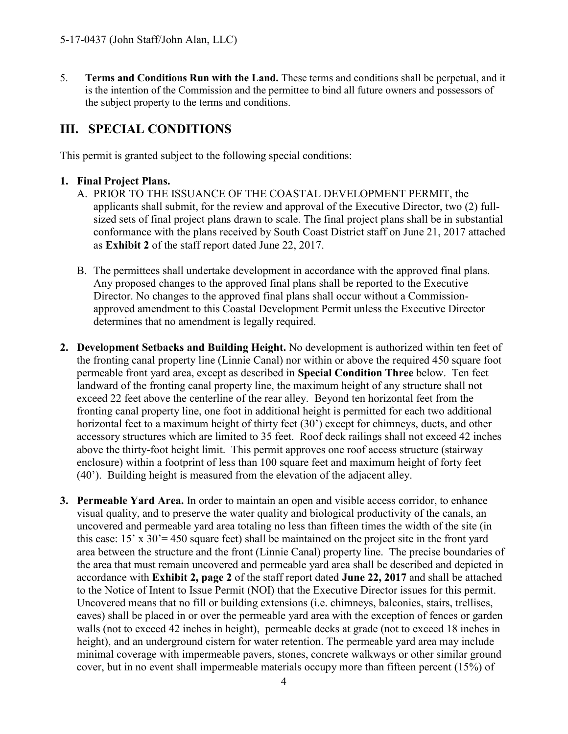5. **Terms and Conditions Run with the Land.** These terms and conditions shall be perpetual, and it is the intention of the Commission and the permittee to bind all future owners and possessors of the subject property to the terms and conditions.

## <span id="page-3-0"></span>**III. SPECIAL CONDITIONS**

This permit is granted subject to the following special conditions:

#### **1. Final Project Plans.**

- A. PRIOR TO THE ISSUANCE OF THE COASTAL DEVELOPMENT PERMIT, the applicants shall submit, for the review and approval of the Executive Director, two (2) fullsized sets of final project plans drawn to scale. The final project plans shall be in substantial conformance with the plans received by South Coast District staff on June 21, 2017 attached as **[Exhibit 2](https://documents.coastal.ca.gov/reports/2017/7/W8a/W8a-7-2017-exhibits.pdf)** of the staff report dated June 22, 2017.
- B. The permittees shall undertake development in accordance with the approved final plans. Any proposed changes to the approved final plans shall be reported to the Executive Director. No changes to the approved final plans shall occur without a Commissionapproved amendment to this Coastal Development Permit unless the Executive Director determines that no amendment is legally required.
- **2. Development Setbacks and Building Height.** No development is authorized within ten feet of the fronting canal property line (Linnie Canal) nor within or above the required 450 square foot permeable front yard area, except as described in **Special Condition Three** below. Ten feet landward of the fronting canal property line, the maximum height of any structure shall not exceed 22 feet above the centerline of the rear alley. Beyond ten horizontal feet from the fronting canal property line, one foot in additional height is permitted for each two additional horizontal feet to a maximum height of thirty feet (30') except for chimneys, ducts, and other accessory structures which are limited to 35 feet. Roof deck railings shall not exceed 42 inches above the thirty-foot height limit. This permit approves one roof access structure (stairway enclosure) within a footprint of less than 100 square feet and maximum height of forty feet (40'). Building height is measured from the elevation of the adjacent alley.
- **3. Permeable Yard Area.** In order to maintain an open and visible access corridor, to enhance visual quality, and to preserve the water quality and biological productivity of the canals, an uncovered and permeable yard area totaling no less than fifteen times the width of the site (in this case: 15' x 30'= 450 square feet) shall be maintained on the project site in the front yard area between the structure and the front (Linnie Canal) property line. The precise boundaries of the area that must remain uncovered and permeable yard area shall be described and depicted in accordance with **[Exhibit 2, page 2](https://documents.coastal.ca.gov/reports/2017/7/W8a/W8a-7-2017-exhibits.pdf)** of the staff report dated **June 22, 2017** and shall be attached to the Notice of Intent to Issue Permit (NOI) that the Executive Director issues for this permit. Uncovered means that no fill or building extensions (i.e. chimneys, balconies, stairs, trellises, eaves) shall be placed in or over the permeable yard area with the exception of fences or garden walls (not to exceed 42 inches in height), permeable decks at grade (not to exceed 18 inches in height), and an underground cistern for water retention. The permeable yard area may include minimal coverage with impermeable pavers, stones, concrete walkways or other similar ground cover, but in no event shall impermeable materials occupy more than fifteen percent (15%) of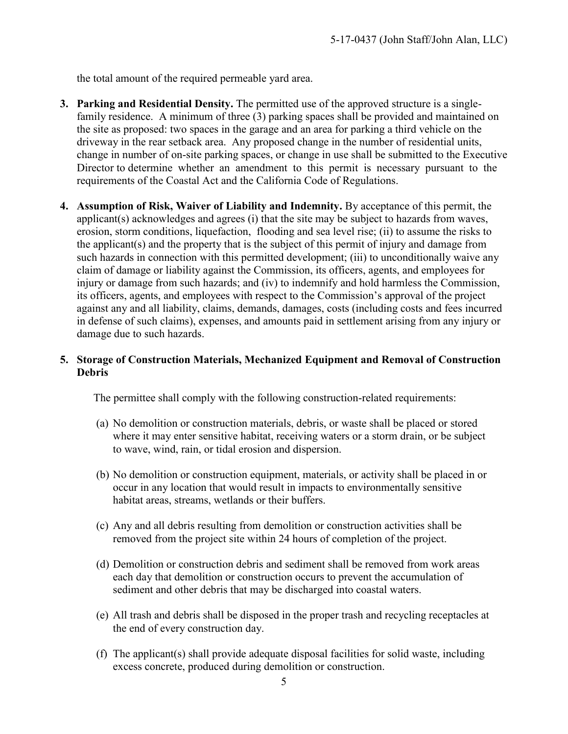the total amount of the required permeable yard area.

- **3. Parking and Residential Density.** The permitted use of the approved structure is a singlefamily residence. A minimum of three (3) parking spaces shall be provided and maintained on the site as proposed: two spaces in the garage and an area for parking a third vehicle on the driveway in the rear setback area. Any proposed change in the number of residential units, change in number of on-site parking spaces, or change in use shall be submitted to the Executive Director to determine whether an amendment to this permit is necessary pursuant to the requirements of the Coastal Act and the California Code of Regulations.
- **4. Assumption of Risk, Waiver of Liability and Indemnity.** By acceptance of this permit, the applicant(s) acknowledges and agrees (i) that the site may be subject to hazards from waves, erosion, storm conditions, liquefaction, flooding and sea level rise; (ii) to assume the risks to the applicant(s) and the property that is the subject of this permit of injury and damage from such hazards in connection with this permitted development; (iii) to unconditionally waive any claim of damage or liability against the Commission, its officers, agents, and employees for injury or damage from such hazards; and (iv) to indemnify and hold harmless the Commission, its officers, agents, and employees with respect to the Commission's approval of the project against any and all liability, claims, demands, damages, costs (including costs and fees incurred in defense of such claims), expenses, and amounts paid in settlement arising from any injury or damage due to such hazards.

#### **5. Storage of Construction Materials, Mechanized Equipment and Removal of Construction Debris**

The permittee shall comply with the following construction-related requirements:

- (a) No demolition or construction materials, debris, or waste shall be placed or stored where it may enter sensitive habitat, receiving waters or a storm drain, or be subject to wave, wind, rain, or tidal erosion and dispersion.
- (b) No demolition or construction equipment, materials, or activity shall be placed in or occur in any location that would result in impacts to environmentally sensitive habitat areas, streams, wetlands or their buffers.
- (c) Any and all debris resulting from demolition or construction activities shall be removed from the project site within 24 hours of completion of the project.
- (d) Demolition or construction debris and sediment shall be removed from work areas each day that demolition or construction occurs to prevent the accumulation of sediment and other debris that may be discharged into coastal waters.
- (e) All trash and debris shall be disposed in the proper trash and recycling receptacles at the end of every construction day.
- (f) The applicant(s) shall provide adequate disposal facilities for solid waste, including excess concrete, produced during demolition or construction.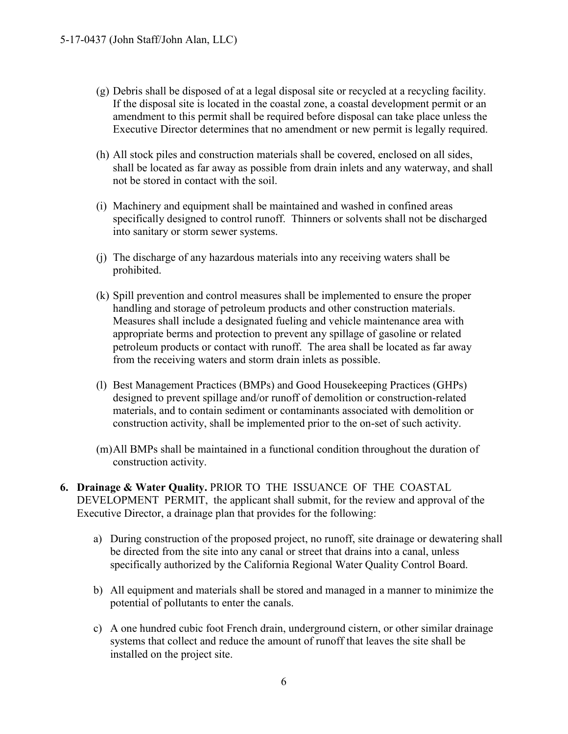- (g) Debris shall be disposed of at a legal disposal site or recycled at a recycling facility. If the disposal site is located in the coastal zone, a coastal development permit or an amendment to this permit shall be required before disposal can take place unless the Executive Director determines that no amendment or new permit is legally required.
- (h) All stock piles and construction materials shall be covered, enclosed on all sides, shall be located as far away as possible from drain inlets and any waterway, and shall not be stored in contact with the soil.
- (i) Machinery and equipment shall be maintained and washed in confined areas specifically designed to control runoff. Thinners or solvents shall not be discharged into sanitary or storm sewer systems.
- (j) The discharge of any hazardous materials into any receiving waters shall be prohibited.
- (k) Spill prevention and control measures shall be implemented to ensure the proper handling and storage of petroleum products and other construction materials. Measures shall include a designated fueling and vehicle maintenance area with appropriate berms and protection to prevent any spillage of gasoline or related petroleum products or contact with runoff. The area shall be located as far away from the receiving waters and storm drain inlets as possible.
- (l) Best Management Practices (BMPs) and Good Housekeeping Practices (GHPs) designed to prevent spillage and/or runoff of demolition or construction-related materials, and to contain sediment or contaminants associated with demolition or construction activity, shall be implemented prior to the on-set of such activity.
- (m)All BMPs shall be maintained in a functional condition throughout the duration of construction activity.
- **6. Drainage & Water Quality.** PRIOR TO THE ISSUANCE OF THE COASTAL DEVELOPMENT PERMIT,the applicant shall submit, for the review and approval of the Executive Director, a drainage plan that provides for the following:
	- a) During construction of the proposed project, no runoff, site drainage or dewatering shall be directed from the site into any canal or street that drains into a canal, unless specifically authorized by the California Regional Water Quality Control Board.
	- b) All equipment and materials shall be stored and managed in a manner to minimize the potential of pollutants to enter the canals.
	- c) A one hundred cubic foot French drain, underground cistern, or other similar drainage systems that collect and reduce the amount of runoff that leaves the site shall be installed on the project site.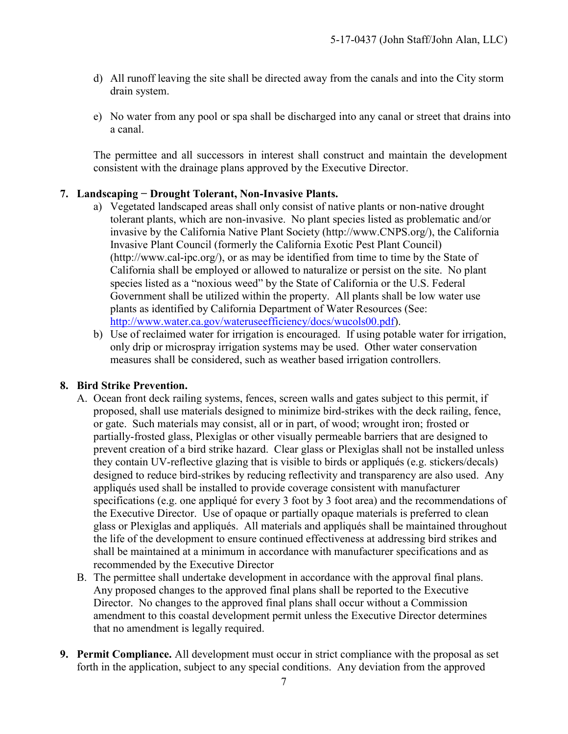- d) All runoff leaving the site shall be directed away from the canals and into the City storm drain system.
- e) No water from any pool or spa shall be discharged into any canal or street that drains into a canal.

The permittee and all successors in interest shall construct and maintain the development consistent with the drainage plans approved by the Executive Director.

#### **7. Landscaping − Drought Tolerant, Non-Invasive Plants.**

- a) Vegetated landscaped areas shall only consist of native plants or non-native drought tolerant plants, which are non-invasive. No plant species listed as problematic and/or invasive by the California Native Plant Society (http://www.CNPS.org/), the California Invasive Plant Council (formerly the California Exotic Pest Plant Council) (http://www.cal-ipc.org/), or as may be identified from time to time by the State of California shall be employed or allowed to naturalize or persist on the site. No plant species listed as a "noxious weed" by the State of California or the U.S. Federal Government shall be utilized within the property. All plants shall be low water use plants as identified by California Department of Water Resources (See: [http://www.water.ca.gov/wateruseefficiency/docs/wucols00.pdf\)](http://www.water.ca.gov/wateruseefficiency/docs/wucols00.pdf).
- b) Use of reclaimed water for irrigation is encouraged. If using potable water for irrigation, only drip or microspray irrigation systems may be used. Other water conservation measures shall be considered, such as weather based irrigation controllers.

#### **8. Bird Strike Prevention.**

- A. Ocean front deck railing systems, fences, screen walls and gates subject to this permit, if proposed, shall use materials designed to minimize bird-strikes with the deck railing, fence, or gate. Such materials may consist, all or in part, of wood; wrought iron; frosted or partially-frosted glass, Plexiglas or other visually permeable barriers that are designed to prevent creation of a bird strike hazard. Clear glass or Plexiglas shall not be installed unless they contain UV-reflective glazing that is visible to birds or appliqués (e.g. stickers/decals) designed to reduce bird-strikes by reducing reflectivity and transparency are also used. Any appliqués used shall be installed to provide coverage consistent with manufacturer specifications (e.g. one appliqué for every 3 foot by 3 foot area) and the recommendations of the Executive Director. Use of opaque or partially opaque materials is preferred to clean glass or Plexiglas and appliqués. All materials and appliqués shall be maintained throughout the life of the development to ensure continued effectiveness at addressing bird strikes and shall be maintained at a minimum in accordance with manufacturer specifications and as recommended by the Executive Director
- B. The permittee shall undertake development in accordance with the approval final plans. Any proposed changes to the approved final plans shall be reported to the Executive Director. No changes to the approved final plans shall occur without a Commission amendment to this coastal development permit unless the Executive Director determines that no amendment is legally required.
- **9. Permit Compliance.** All development must occur in strict compliance with the proposal as set forth in the application, subject to any special conditions. Any deviation from the approved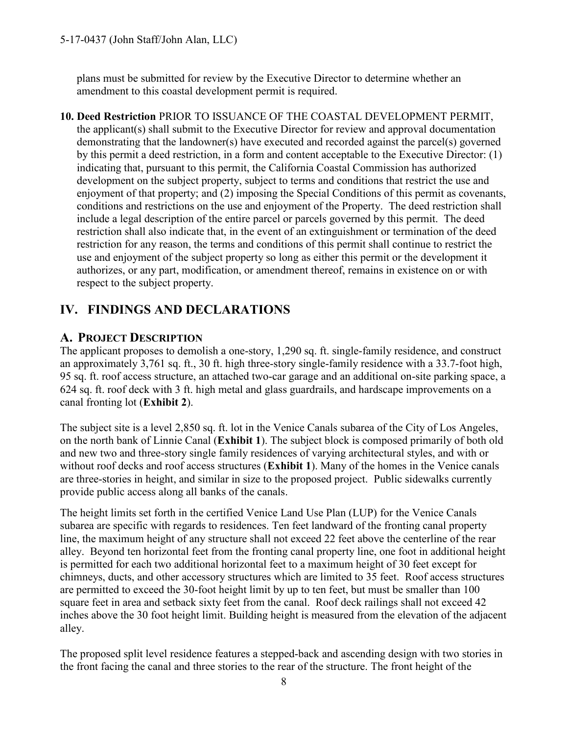plans must be submitted for review by the Executive Director to determine whether an amendment to this coastal development permit is required.

**10. Deed Restriction** PRIOR TO ISSUANCE OF THE COASTAL DEVELOPMENT PERMIT, the applicant(s) shall submit to the Executive Director for review and approval documentation demonstrating that the landowner(s) have executed and recorded against the parcel(s) governed by this permit a deed restriction, in a form and content acceptable to the Executive Director: (1) indicating that, pursuant to this permit, the California Coastal Commission has authorized development on the subject property, subject to terms and conditions that restrict the use and enjoyment of that property; and (2) imposing the Special Conditions of this permit as covenants, conditions and restrictions on the use and enjoyment of the Property. The deed restriction shall include a legal description of the entire parcel or parcels governed by this permit. The deed restriction shall also indicate that, in the event of an extinguishment or termination of the deed restriction for any reason, the terms and conditions of this permit shall continue to restrict the use and enjoyment of the subject property so long as either this permit or the development it authorizes, or any part, modification, or amendment thereof, remains in existence on or with respect to the subject property.

## <span id="page-7-0"></span>**IV. FINDINGS AND DECLARATIONS**

## <span id="page-7-1"></span>**A. PROJECT DESCRIPTION**

The applicant proposes to demolish a one-story, 1,290 sq. ft. single-family residence, and construct an approximately 3,761 sq. ft., 30 ft. high three-story single-family residence with a 33.7-foot high, 95 sq. ft. roof access structure, an attached two-car garage and an additional on-site parking space, a 624 sq. ft. roof deck with 3 ft. high metal and glass guardrails, and hardscape improvements on a canal fronting lot (**[Exhibit 2](https://documents.coastal.ca.gov/reports/2017/7/W8a/W8a-7-2017-exhibits.pdf)**).

The subject site is a level 2,850 sq. ft. lot in the Venice Canals subarea of the City of Los Angeles, on the north bank of Linnie Canal (**[Exhibit 1](https://documents.coastal.ca.gov/reports/2017/7/W8a/W8a-7-2017-exhibits.pdf)**). The subject block is composed primarily of both old and new two and three-story single family residences of varying architectural styles, and with or without roof decks and roof access structures (**[Exhibit 1](https://documents.coastal.ca.gov/reports/2017/7/W8a/W8a-7-2017-exhibits.pdf)**). Many of the homes in the Venice canals are three-stories in height, and similar in size to the proposed project. Public sidewalks currently provide public access along all banks of the canals.

The height limits set forth in the certified Venice Land Use Plan (LUP) for the Venice Canals subarea are specific with regards to residences. Ten feet landward of the fronting canal property line, the maximum height of any structure shall not exceed 22 feet above the centerline of the rear alley. Beyond ten horizontal feet from the fronting canal property line, one foot in additional height is permitted for each two additional horizontal feet to a maximum height of 30 feet except for chimneys, ducts, and other accessory structures which are limited to 35 feet. Roof access structures are permitted to exceed the 30-foot height limit by up to ten feet, but must be smaller than 100 square feet in area and setback sixty feet from the canal. Roof deck railings shall not exceed 42 inches above the 30 foot height limit. Building height is measured from the elevation of the adjacent alley.

The proposed split level residence features a stepped-back and ascending design with two stories in the front facing the canal and three stories to the rear of the structure. The front height of the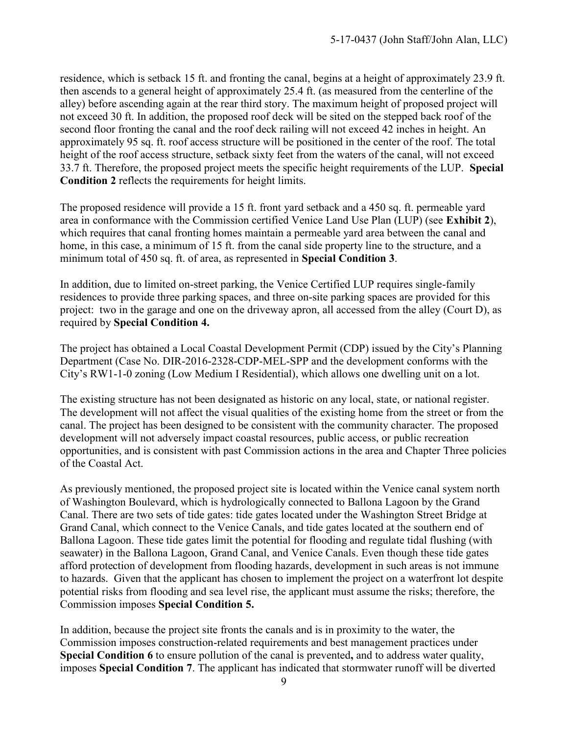residence, which is setback 15 ft. and fronting the canal, begins at a height of approximately 23.9 ft. then ascends to a general height of approximately 25.4 ft. (as measured from the centerline of the alley) before ascending again at the rear third story. The maximum height of proposed project will not exceed 30 ft. In addition, the proposed roof deck will be sited on the stepped back roof of the second floor fronting the canal and the roof deck railing will not exceed 42 inches in height. An approximately 95 sq. ft. roof access structure will be positioned in the center of the roof. The total height of the roof access structure, setback sixty feet from the waters of the canal, will not exceed 33.7 ft. Therefore, the proposed project meets the specific height requirements of the LUP. **Special Condition 2** reflects the requirements for height limits.

The proposed residence will provide a 15 ft. front yard setback and a 450 sq. ft. permeable yard area in conformance with the Commission certified Venice Land Use Plan (LUP) (see **Exhibit 2**), which requires that canal fronting homes maintain a permeable yard area between the canal and home, in this case, a minimum of 15 ft. from the canal side property line to the structure, and a minimum total of 450 sq. ft. of area, as represented in **Special Condition 3**.

In addition, due to limited on-street parking, the Venice Certified LUP requires single-family residences to provide three parking spaces, and three on-site parking spaces are provided for this project: two in the garage and one on the driveway apron, all accessed from the alley (Court D), as required by **Special Condition 4.** 

The project has obtained a Local Coastal Development Permit (CDP) issued by the City's Planning Department (Case No. DIR-2016-2328-CDP-MEL-SPP and the development conforms with the City's RW1-1-0 zoning (Low Medium I Residential), which allows one dwelling unit on a lot.

The existing structure has not been designated as historic on any local, state, or national register. The development will not affect the visual qualities of the existing home from the street or from the canal. The project has been designed to be consistent with the community character. The proposed development will not adversely impact coastal resources, public access, or public recreation opportunities, and is consistent with past Commission actions in the area and Chapter Three policies of the Coastal Act.

As previously mentioned, the proposed project site is located within the Venice canal system north of Washington Boulevard, which is hydrologically connected to Ballona Lagoon by the Grand Canal. There are two sets of tide gates: tide gates located under the Washington Street Bridge at Grand Canal, which connect to the Venice Canals, and tide gates located at the southern end of Ballona Lagoon. These tide gates limit the potential for flooding and regulate tidal flushing (with seawater) in the Ballona Lagoon, Grand Canal, and Venice Canals. Even though these tide gates afford protection of development from flooding hazards, development in such areas is not immune to hazards. Given that the applicant has chosen to implement the project on a waterfront lot despite potential risks from flooding and sea level rise, the applicant must assume the risks; therefore, the Commission imposes **Special Condition 5.**

In addition, because the project site fronts the canals and is in proximity to the water, the Commission imposes construction-related requirements and best management practices under **Special Condition 6** to ensure pollution of the canal is prevented**,** and to address water quality, imposes **Special Condition 7**. The applicant has indicated that stormwater runoff will be diverted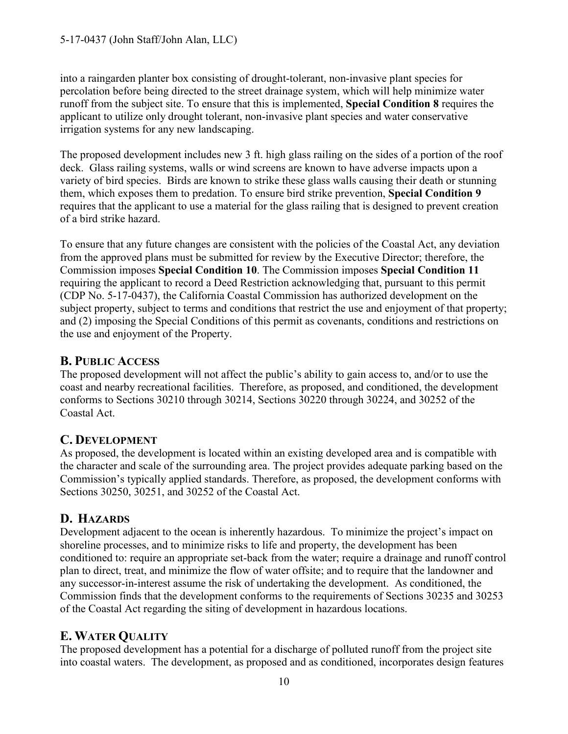into a raingarden planter box consisting of drought-tolerant, non-invasive plant species for percolation before being directed to the street drainage system, which will help minimize water runoff from the subject site. To ensure that this is implemented, **Special Condition 8** requires the applicant to utilize only drought tolerant, non-invasive plant species and water conservative irrigation systems for any new landscaping.

The proposed development includes new 3 ft. high glass railing on the sides of a portion of the roof deck. Glass railing systems, walls or wind screens are known to have adverse impacts upon a variety of bird species. Birds are known to strike these glass walls causing their death or stunning them, which exposes them to predation. To ensure bird strike prevention, **Special Condition 9** requires that the applicant to use a material for the glass railing that is designed to prevent creation of a bird strike hazard.

To ensure that any future changes are consistent with the policies of the Coastal Act, any deviation from the approved plans must be submitted for review by the Executive Director; therefore, the Commission imposes **Special Condition 10**. The Commission imposes **Special Condition 11** requiring the applicant to record a Deed Restriction acknowledging that, pursuant to this permit (CDP No. 5-17-0437), the California Coastal Commission has authorized development on the subject property, subject to terms and conditions that restrict the use and enjoyment of that property; and (2) imposing the Special Conditions of this permit as covenants, conditions and restrictions on the use and enjoyment of the Property.

## <span id="page-9-1"></span>**B. PUBLIC ACCESS**

The proposed development will not affect the public's ability to gain access to, and/or to use the coast and nearby recreational facilities. Therefore, as proposed, and conditioned, the development conforms to Sections 30210 through 30214, Sections 30220 through 30224, and 30252 of the Coastal Act.

## <span id="page-9-0"></span>**C. DEVELOPMENT**

As proposed, the development is located within an existing developed area and is compatible with the character and scale of the surrounding area. The project provides adequate parking based on the Commission's typically applied standards. Therefore, as proposed, the development conforms with Sections 30250, 30251, and 30252 of the Coastal Act.

## **D. HAZARDS**

Development adjacent to the ocean is inherently hazardous. To minimize the project's impact on shoreline processes, and to minimize risks to life and property, the development has been conditioned to: require an appropriate set-back from the water; require a drainage and runoff control plan to direct, treat, and minimize the flow of water offsite; and to require that the landowner and any successor-in-interest assume the risk of undertaking the development. As conditioned, the Commission finds that the development conforms to the requirements of Sections 30235 and 30253 of the Coastal Act regarding the siting of development in hazardous locations.

## <span id="page-9-2"></span>**E. WATER QUALITY**

The proposed development has a potential for a discharge of polluted runoff from the project site into coastal waters. The development, as proposed and as conditioned, incorporates design features